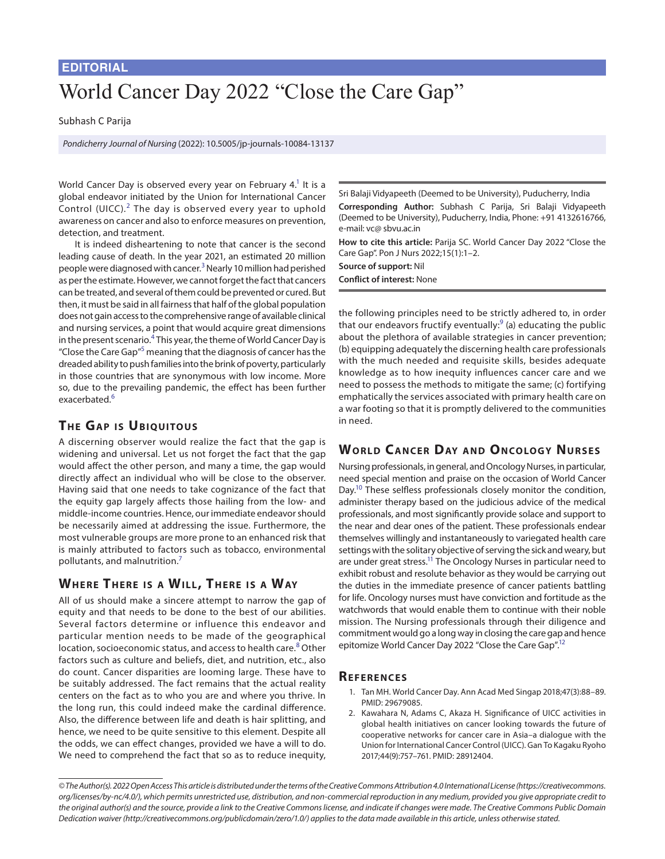#### **EDITORIAL**

# World Cancer Day 2022 "Close the Care Gap"

#### Subhash C Parija

*Pondicherry Journal of Nursing* (2022): 10.5005/jp-journals-10084-13137

World Cancer Day is observed every year on February 4.<sup>1</sup> It is a global endeavor initiated by the Union for International Cancer Control (UICC). $<sup>2</sup>$  $<sup>2</sup>$  $<sup>2</sup>$  The day is observed every year to uphold</sup> awareness on cancer and also to enforce measures on prevention, detection, and treatment.

It is indeed disheartening to note that cancer is the second leading cause of death. In the year 2021, an estimated 20 million people were diagnosed with cancer.<sup>[3](#page-1-0)</sup> Nearly 10 million had perished as per the estimate. However, we cannot forget the fact that cancers can be treated, and several of them could be prevented or cured. But then, it must be said in all fairness that half of the global population does not gain access to the comprehensive range of available clinical and nursing services, a point that would acquire great dimensions in the present scenario.<sup>4</sup> This year, the theme of World Cancer Day is "Close the Care Gap"<sup>5</sup> meaning that the diagnosis of cancer has the dreaded ability to push families into the brink of poverty, particularly in those countries that are synonymous with low income. More so, due to the prevailing pandemic, the effect has been further exacerbated.<sup>[6](#page-1-3)</sup>

## **THE GAP IS UBIQUITOUS**

A discerning observer would realize the fact that the gap is widening and universal. Let us not forget the fact that the gap would affect the other person, and many a time, the gap would directly affect an individual who will be close to the observer. Having said that one needs to take cognizance of the fact that the equity gap largely affects those hailing from the low- and middle-income countries. Hence, our immediate endeavor should be necessarily aimed at addressing the issue. Furthermore, the most vulnerable groups are more prone to an enhanced risk that is mainly attributed to factors such as tobacco, environmental pollutants, and malnutrition.[7](#page-1-4)

## **WHERE THERE IS A WILL, THERE IS A WAY**

All of us should make a sincere attempt to narrow the gap of equity and that needs to be done to the best of our abilities. Several factors determine or influence this endeavor and particular mention needs to be made of the geographical location, socioeconomic status, and access to health care.<sup>[8](#page-1-5)</sup> Other factors such as culture and beliefs, diet, and nutrition, etc., also do count. Cancer disparities are looming large. These have to be suitably addressed. The fact remains that the actual reality centers on the fact as to who you are and where you thrive. In the long run, this could indeed make the cardinal difference. Also, the difference between life and death is hair splitting, and hence, we need to be quite sensitive to this element. Despite all the odds, we can effect changes, provided we have a will to do. We need to comprehend the fact that so as to reduce inequity,

Sri Balaji Vidyapeeth (Deemed to be University), Puducherry, India **Corresponding Author:** Subhash C Parija, Sri Balaji Vidyapeeth (Deemed to be University), Puducherry, India, Phone: +91 4132616766, e-mail: vc@ sbvu.ac.in

**How to cite this article:** Parija SC. World Cancer Day 2022 "Close the Care Gap". Pon J Nurs 2022;15(1):1–2.

**Source of support:** Nil **Conflict of interest:** None

the following principles need to be strictly adhered to, in order that our endeavors fructify eventually:<sup>[9](#page-1-6)</sup> (a) educating the public about the plethora of available strategies in cancer prevention; (b) equipping adequately the discerning health care professionals with the much needed and requisite skills, besides adequate knowledge as to how inequity influences cancer care and we need to possess the methods to mitigate the same; (c) fortifying emphatically the services associated with primary health care on a war footing so that it is promptly delivered to the communities in need.

# **WORLD CANCER DAY AND ONCOLOGY NURSES**

Nursing professionals, in general, and Oncology Nurses, in particular, need special mention and praise on the occasion of World Cancer Day.<sup>10</sup> These selfless professionals closely monitor the condition, administer therapy based on the judicious advice of the medical professionals, and most significantly provide solace and support to the near and dear ones of the patient. These professionals endear themselves willingly and instantaneously to variegated health care settings with the solitary objective of serving the sick and weary, but are under great stress.<sup>11</sup> The Oncology Nurses in particular need to exhibit robust and resolute behavior as they would be carrying out the duties in the immediate presence of cancer patients battling for life. Oncology nurses must have conviction and fortitude as the watchwords that would enable them to continue with their noble mission. The Nursing professionals through their diligence and commitment would go a long way in closing the care gap and hence epitomize World Cancer Day 2022 "Close the Care Gap".<sup>12</sup>

#### **Re f e r e nce s**

- <span id="page-0-0"></span>1. Tan MH. World Cancer Day. Ann Acad Med Singap 2018;47(3):88–89. PMID: 29679085.
- <span id="page-0-1"></span>2. Kawahara N, Adams C, Akaza H. Significance of UICC activities in global health initiatives on cancer looking towards the future of cooperative networks for cancer care in Asia–a dialogue with the Union for International Cancer Control (UICC). Gan To Kagaku Ryoho 2017;44(9):757–761. PMID: 28912404.

*<sup>©</sup> The Author(s). 2022 Open Access This article is distributed under the terms of the Creative Commons Attribution 4.0 International License ([https://creativecommons.](https://creativecommons.org/licenses/by-nc/4.0/) [org/licenses/by-nc/4.0/](https://creativecommons.org/licenses/by-nc/4.0/)), which permits unrestricted use, distribution, and non-commercial reproduction in any medium, provided you give appropriate credit to the original author(s) and the source, provide a link to the Creative Commons license, and indicate if changes were made. The Creative Commons Public Domain Dedication waiver ([http://creativecommons.org/publicdomain/zero/1.0/\)](http://creativecommons.org/publicdomain/zero/1.0/) applies to the data made available in this article, unless otherwise stated.*